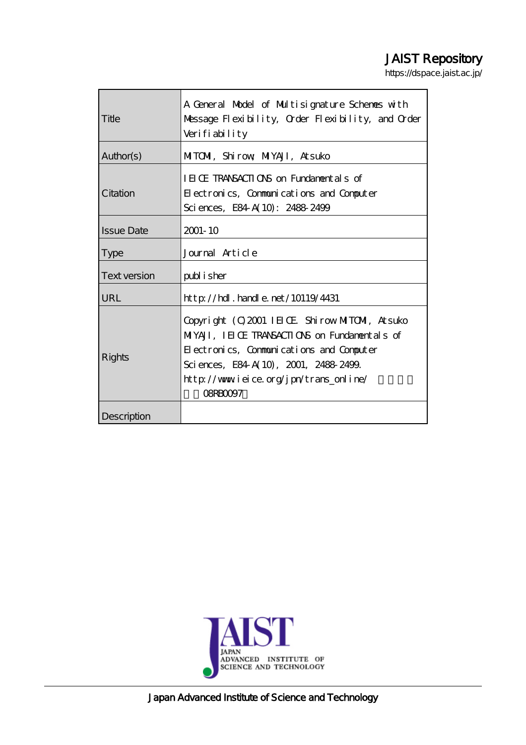# JAIST Repository

https://dspace.jaist.ac.jp/

| Title               | A General Model of Multisignature Schemes with<br>Message Flexibility, Order Flexibility, and Order<br>Verifiability                                                                                                                                 |
|---------------------|------------------------------------------------------------------------------------------------------------------------------------------------------------------------------------------------------------------------------------------------------|
| Author(s)           | MITOM, Shirow MYAJI, Atsuko                                                                                                                                                                                                                          |
| Citation            | IEICE TRANSACTIONS on Fundamentals of<br>Electronics, Communications and Computer<br>Sciences, E84 A(10): 2488-2499                                                                                                                                  |
| <b>Issue Date</b>   | $2001 - 10$                                                                                                                                                                                                                                          |
| <b>Type</b>         | Journal Article                                                                                                                                                                                                                                      |
| <b>Text version</b> | publisher                                                                                                                                                                                                                                            |
| URL                 | $\frac{1}{2}$ // $\frac{1}{2}$ . $\frac{1}{2}$ and $\frac{1}{2}$ and $\frac{1}{2}$ and $\frac{1}{2}$                                                                                                                                                 |
| Rights              | Copyright (C) 2001 IEIOE Shirow MITOMI, At suko<br>MIYAJI, IEICE TRANSACTIONS on Fundamentals of<br>Electronics, Communications and Computer<br>Sciences, E84 A(10), 2001, 2488 2499.<br>http://www.ieice.org/jpn/trans_online/<br><b>OBRACCIOTZ</b> |
| Description         |                                                                                                                                                                                                                                                      |



Japan Advanced Institute of Science and Technology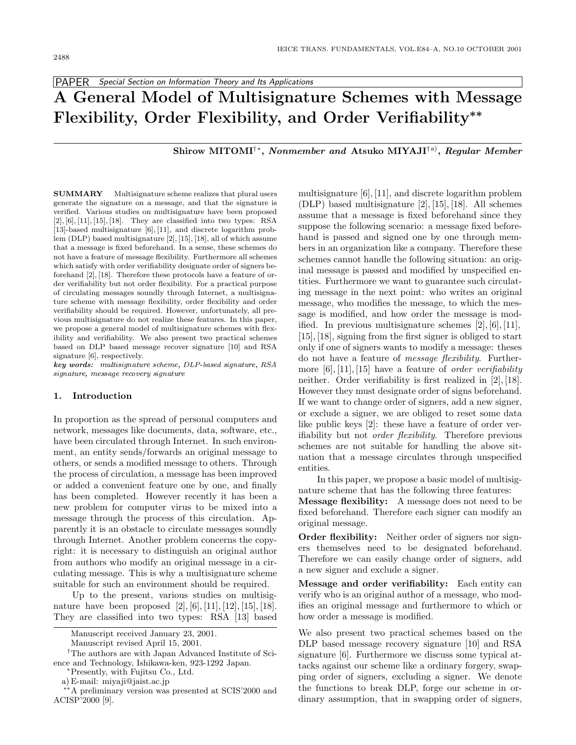PAPER Special Section on Information Theory and Its Applications

# **A General Model of Multisignature Schemes with Message Flexibility, Order Flexibility, and Order Verifiability***∗∗*

**Shirow MITOMI**†∗**,** *Nonmember and* **Atsuko MIYAJI**†a)**,** *Regular Member*

**SUMMARY** Multisignature scheme realizes that plural users generate the signature on a message, and that the signature is verified. Various studies on multisignature have been proposed [2], [6], [11], [15], [18]. They are classified into two types: RSA [13]-based multisignature [6], [11], and discrete logarithm problem (DLP) based multisignature [2], [15], [18], all of which assume that a message is fixed beforehand. In a sense, these schemes do not have a feature of message flexibility. Furthermore all schemes which satisfy with order verifiability designate order of signers beforehand [2], [18]. Therefore these protocols have a feature of order verifiability but not order flexibility. For a practical purpose of circulating messages soundly through Internet, a multisignature scheme with message flexibility, order flexibility and order verifiability should be required. However, unfortunately, all previous multisignature do not realize these features. In this paper, we propose a general model of multisignature schemes with flexibility and verifiability. We also present two practical schemes based on DLP based message recover signature [10] and RSA signature [6], respectively.

*key words:* multisignature scheme, DLP-based signature, RSA signature, message recovery signature

#### **1. Introduction**

In proportion as the spread of personal computers and network, messages like documents, data, software, etc., have been circulated through Internet. In such environment, an entity sends/forwards an original message to others, or sends a modified message to others. Through the process of circulation, a message has been improved or added a convenient feature one by one, and finally has been completed. However recently it has been a new problem for computer virus to be mixed into a message through the process of this circulation. Apparently it is an obstacle to circulate messages soundly through Internet. Another problem concerns the copyright: it is necessary to distinguish an original author from authors who modify an original message in a circulating message. This is why a multisignature scheme suitable for such an environment should be required.

Up to the present, various studies on multisignature have been proposed  $[2]$ ,  $[6]$ ,  $[11]$ ,  $[12]$ ,  $[15]$ ,  $[18]$ . They are classified into two types: RSA[13] based multisignature [6], [11], and discrete logarithm problem (DLP) based multisignature [2], [15], [18]. All schemes assume that a message is fixed beforehand since they suppose the following scenario: a message fixed beforehand is passed and signed one by one through members in an organization like a company. Therefore these schemes cannot handle the following situation: an original message is passed and modified by unspecified entities. Furthermore we want to guarantee such circulating message in the next point: who writes an original message, who modifies the message, to which the message is modified, and how order the message is modified. In previous multisignature schemes [2], [6], [11], [15], [18], signing from the first signer is obliged to start only if one of signers wants to modify a message: theses do not have a feature of message flexibility. Furthermore  $[6], [11], [15]$  have a feature of *order verifiability* neither. Order verifiability is first realized in [2], [18]. However they must designate order of signs beforehand. If we want to change order of signers, add a new signer, or exclude a signer, we are obliged to reset some data like public keys [2]: these have a feature of order verifiability but not order flexibility. Therefore previous schemes are not suitable for handling the above situation that a message circulates through unspecified entities.

In this paper, we propose a basic model of multisignature scheme that has the following three features:

**Message flexibility:** A message does not need to be fixed beforehand. Therefore each signer can modify an original message.

**Order flexibility:** Neither order of signers nor signers themselves need to be designated beforehand. Therefore we can easily change order of signers, add a new signer and exclude a signer.

**Message and order verifiability:** Each entity can verify who is an original author of a message, who modifies an original message and furthermore to which or how order a message is modified.

We also present two practical schemes based on the DLP based message recovery signature [10] and RSA signature [6]. Furthermore we discuss some typical attacks against our scheme like a ordinary forgery, swapping order of signers, excluding a signer. We denote the functions to break DLP, forge our scheme in ordinary assumption, that in swapping order of signers,

Manuscript received January 23, 2001.

Manuscript revised April 15, 2001.

<sup>†</sup>The authors are with Japan Advanced Institute of Science and Technology, Ishikawa-ken, 923-1292 Japan.

<sup>∗</sup>Presently, with Fujitsu Co., Ltd.

a) E-mail: miyaji@jaist.ac.jp

<sup>∗∗</sup>A preliminary version was presented at SCIS'2000 and ACISP'2000 [9].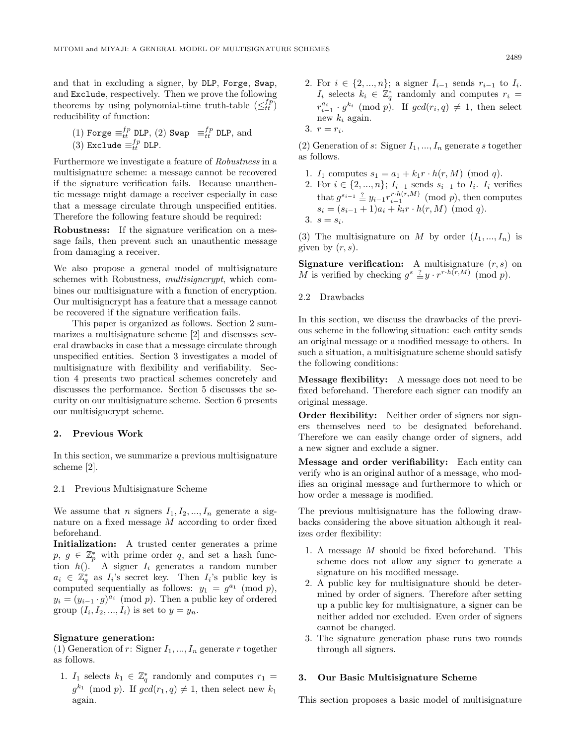and that in excluding a signer, by DLP, Forge, Swap, and Exclude, respectively. Then we prove the following theorems by using polynomial-time truth-table  $\left(\leq_{tt}^{fp}\right)$ reducibility of function:

(1) Forge 
$$
\equiv_{tt}^{fp}
$$
 DLP, (2) Swap  $\equiv_{tt}^{fp}$  DLP, and  
(3) Exclude  $\equiv_{tt}^{fp}$  DLP.

Furthermore we investigate a feature of Robustness in a multisignature scheme: a message cannot be recovered if the signature verification fails. Because unauthentic message might damage a receiver especially in case that a message circulate through unspecified entities. Therefore the following feature should be required:

**Robustness:** If the signature verification on a message fails, then prevent such an unauthentic message from damaging a receiver.

We also propose a general model of multisignature schemes with Robustness, multisigncrypt, which combines our multisignature with a function of encryption. Our multisigncrypt has a feature that a message cannot be recovered if the signature verification fails.

This paper is organized as follows. Section 2 summarizes a multisignature scheme [2] and discusses several drawbacks in case that a message circulate through unspecified entities. Section 3 investigates a model of multisignature with flexibility and verifiability. Section 4 presents two practical schemes concretely and discusses the performance. Section 5 discusses the security on our multisignature scheme. Section 6 presents our multisigncrypt scheme.

### **2. Previous Work**

In this section, we summarize a previous multisignature scheme [2].

#### 2.1 Previous Multisignature Scheme

We assume that *n* signers  $I_1, I_2, ..., I_n$  generate a signature on a fixed message M according to order fixed beforehand.

**Initialization:** A trusted center generates a prime  $p, g \in \mathbb{Z}_p^*$  with prime order q, and set a hash function  $h()$ . A signer  $I_i$  generates a random number  $a_i \in \mathbb{Z}_q^*$  as  $I_i$ 's secret key. Then  $I_i$ 's public key is computed sequentially as follows:  $y_1 = g^{a_1} \pmod{p}$ ,  $y_i = (y_{i-1} \cdot g)^{a_i} \pmod{p}$ . Then a public key of ordered group  $(I_i, I_2, ..., I_i)$  is set to  $y = y_n$ .

#### **Signature generation:**

(1) Generation of r: Signer  $I_1, ..., I_n$  generate r together as follows.

1.  $I_1$  selects  $k_1 \in \mathbb{Z}_q^*$  randomly and computes  $r_1 =$  $g^{k_1} \pmod{p}$ . If  $gcd(r_1, q) \neq 1$ , then select new  $k_1$ again.

2. For  $i \in \{2, ..., n\}$ ; a signer  $I_{i-1}$  sends  $r_{i-1}$  to  $I_i$ .  $I_i$  selects  $k_i \in \mathbb{Z}_q^*$  randomly and computes  $r_i =$  $r_{i-1}^{a_i}$  *g*<sup>k<sub>i</sub></sup> (mod *p*). If  $gcd(r_i, q) \neq 1$ , then select new  $k_i$  again.

$$
3. r = r_i.
$$

(2) Generation of s: Signer  $I_1, ..., I_n$  generate s together as follows.

- 1.  $I_1$  computes  $s_1 = a_1 + k_1 r \cdot h(r, M) \pmod{q}$ .
- 2. For  $i \in \{2, ..., n\}$ ;  $I_{i-1}$  sends  $s_{i-1}$  to  $I_i$ .  $I_i$  verifies that  $g^{s_{i-1}} \stackrel{?}{=} y_{i-1} r_{i-1}^{r \cdot h(r,M)} \pmod{p}$ , then computes  $s_i = (s_{i-1} + 1)a_i + k_i r \cdot h(r, M) \pmod{q}.$ 3.  $s = s_i$ .

(3) The multisignature on M by order  $(I_1, ..., I_n)$  is given by  $(r, s)$ .

**Signature verification:** A multisignature  $(r, s)$  on M is verified by checking  $g^s \stackrel{?}{=} y \cdot r^{r \cdot h(r,M)} \pmod{p}$ .

# 2.2 Drawbacks

In this section, we discuss the drawbacks of the previous scheme in the following situation: each entity sends an original message or a modified message to others. In such a situation, a multisignature scheme should satisfy the following conditions:

**Message flexibility:** A message does not need to be fixed beforehand. Therefore each signer can modify an original message.

**Order flexibility:** Neither order of signers nor signers themselves need to be designated beforehand. Therefore we can easily change order of signers, add a new signer and exclude a signer.

**Message and order verifiability:** Each entity can verify who is an original author of a message, who modifies an original message and furthermore to which or how order a message is modified.

The previous multisignature has the following drawbacks considering the above situation although it realizes order flexibility:

- 1. A message M should be fixed beforehand. This scheme does not allow any signer to generate a signature on his modified message.
- 2. A public key for multisignature should be determined by order of signers. Therefore after setting up a public key for multisignature, a signer can be neither added nor excluded. Even order of signers cannot be changed.
- 3. The signature generation phase runs two rounds through all signers.

# **3. Our Basic Multisignature Scheme**

This section proposes a basic model of multisignature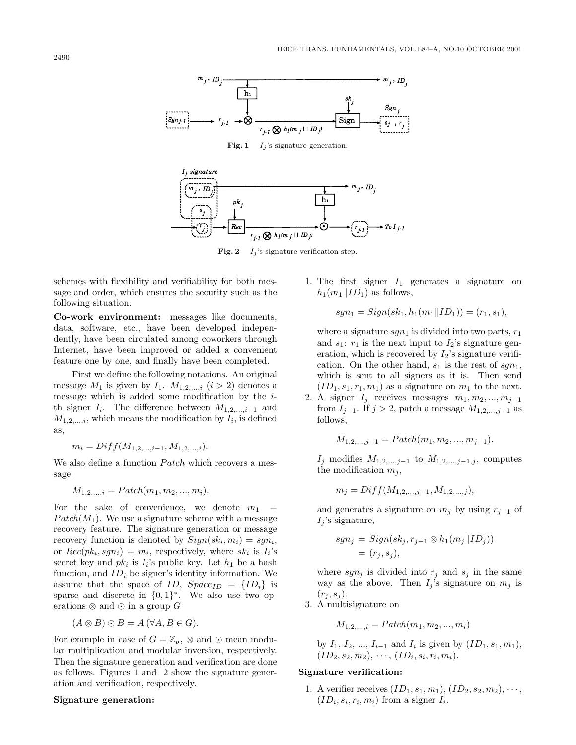

, signature IJ  $h<sub>1</sub>$ pk  $T_0 I_{j-1}$  $Re$ 

**Fig. 2**  $I_i$ 's signature verification step.

schemes with flexibility and verifiability for both message and order, which ensures the security such as the following situation.

**Co-work environment:** messages like documents, data, software, etc., have been developed independently, have been circulated among coworkers through Internet, have been improved or added a convenient feature one by one, and finally have been completed.

First we define the following notations. An original message  $M_1$  is given by  $I_1$ .  $M_{1,2,\dots,i}$   $(i > 2)$  denotes a message which is added some modification by the ith signer  $I_i$ . The difference between  $M_{1,2,\dots,i-1}$  and  $M_{1,2,\ldots,i}$ , which means the modification by  $I_i$ , is defined as,

$$
m_i = Diff(M_{1,2,\ldots,i-1}, M_{1,2,\ldots,i}).
$$

We also define a function  $Patch$  which recovers a message,

$$
M_{1,2,...,i} = \text{patch}(m_1, m_2, ..., m_i).
$$

For the sake of convenience, we denote  $m_1$  $Patch(M_1)$ . We use a signature scheme with a message recovery feature. The signature generation or message recovery function is denoted by  $Sign(sk_i, m_i) = sgn_i$ , or  $Rec(pk_i, sgn_i) = m_i$ , respectively, where  $sk_i$  is  $I_i$ 's secret key and  $pk_i$  is  $I_i$ 's public key. Let  $h_1$  be a hash function, and  $ID_i$  be signer's identity information. We assume that the space of ID,  $Space_{ID} = \{ID_i\}$  is sparse and discrete in  $\{0,1\}^*$ . We also use two operations  $\otimes$  and  $\odot$  in a group  $G$ 

$$
(A \otimes B) \odot B = A \, (\forall A, B \in G).
$$

For example in case of  $G = \mathbb{Z}_p$ ,  $\otimes$  and  $\odot$  mean modular multiplication and modular inversion, respectively. Then the signature generation and verification are done as follows. Figures 1 and 2 show the signature generation and verification, respectively.

#### **Signature generation:**

1. The first signer  $I_1$  generates a signature on  $h_1(m_1||ID_1)$  as follows,

$$
sgn_1 = Sign(sk_1, h_1(m_1||ID_1)) = (r_1, s_1),
$$

where a signature  $sgn_1$  is divided into two parts,  $r_1$ and  $s_1$ :  $r_1$  is the next input to  $I_2$ 's signature generation, which is recovered by  $I_2$ 's signature verification. On the other hand,  $s_1$  is the rest of  $sgn_1$ , which is sent to all signers as it is. Then send  $(ID_1, s_1, r_1, m_1)$  as a signature on  $m_1$  to the next.

2. A signer  $I_j$  receives messages  $m_1, m_2, ..., m_{j-1}$ from  $I_{j-1}$ . If  $j > 2$ , patch a message  $M_{1,2,\dots,j-1}$  as follows,

$$
M_{1,2,...,j-1} = \text{Patch}(m_1, m_2, ..., m_{j-1}).
$$

 $I_j$  modifies  $M_{1,2,...,j-1}$  to  $M_{1,2,...,j-1,j}$ , computes the modification  $m_j$ ,

$$
m_j = Diff(M_{1,2,\dots,j-1}, M_{1,2,\dots,j}),
$$

and generates a signature on  $m_j$  by using  $r_{j-1}$  of  $I_i$ 's signature,

$$
sgn_j = Sign(sk_j, r_{j-1} \otimes h_1(m_j||ID_j))
$$
  
=  $(r_j, s_j),$ 

where  $sgn_j$  is divided into  $r_j$  and  $s_j$  in the same way as the above. Then  $I_i$ 's signature on  $m_i$  is  $(r_j, s_j)$ .

3. Amultisignature on

$$
M_{1,2,...,i} = \text{Patch}(m_1, m_2, ..., m_i)
$$

by  $I_1, I_2, ..., I_{i-1}$  and  $I_i$  is given by  $(ID_1, s_1, m_1),$  $(ID_2, s_2, m_2), \cdots, (ID_i, s_i, r_i, m_i).$ 

## **Signature verification:**

1. A verifier receives  $(ID_1, s_1, m_1), (ID_2, s_2, m_2), \cdots,$  $(ID_i, s_i, r_i, m_i)$  from a signer  $I_i$ .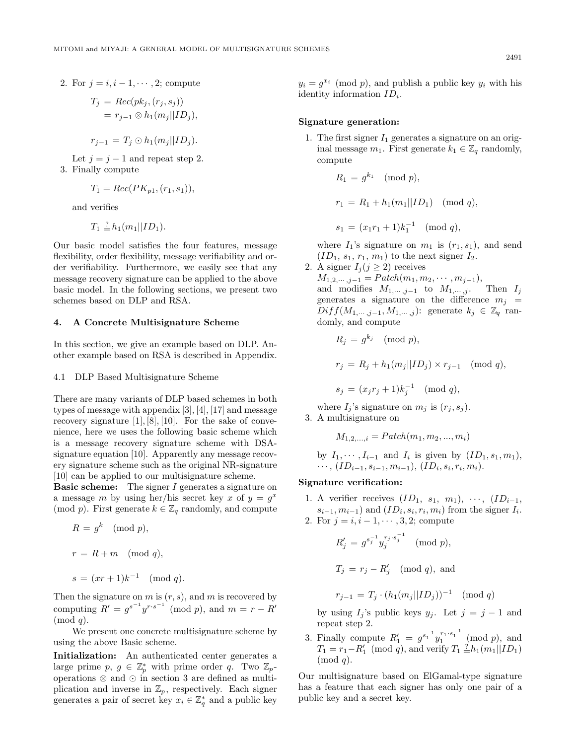2. For  $j = i, i - 1, \dots, 2$ ; compute

$$
T_j = Rec(pk_j, (r_j, s_j))
$$
  
=  $r_{j-1} \otimes h_1(m_j||ID_j),$ 

$$
r_{j-1}=T_j\odot h_1(m_j||ID_j).
$$

Let  $j = j - 1$  and repeat step 2. 3. Finally compute

$$
T_1 = Rec(PK_{p1}, (r_1, s_1)),
$$

and verifies

$$
T_1 \stackrel{?}{=} h_1(m_1||ID_1).
$$

Our basic model satisfies the four features, message flexibility, order flexibility, message verifiability and order verifiability. Furthermore, we easily see that any message recovery signature can be applied to the above basic model. In the following sections, we present two schemes based on DLP and RSA.

#### **4. A Concrete Multisignature Scheme**

In this section, we give an example based on DLP. Another example based on RSA is described in Appendix.

### 4.1 DLP Based Multisignature Scheme

There are many variants of DLP based schemes in both types of message with appendix [3], [4], [17] and message recovery signature  $[1], [8], [10]$ . For the sake of convenience, here we uses the following basic scheme which is a message recovery signature scheme with DSAsignature equation [10]. Apparently any message recovery signature scheme such as the original NR-signature [10] can be applied to our multisignature scheme.

**Basic scheme:** The signer I generates a signature on a message m by using her/his secret key x of  $y = g^x$ (mod p). First generate  $k \in \mathbb{Z}_q$  randomly, and compute

$$
R = gk \pmod{p},
$$

$$
r = R + m \pmod{q},
$$

$$
s = (xr + 1)k^{-1} \pmod{q}.
$$

Then the signature on  $m$  is  $(r, s)$ , and  $m$  is recovered by computing  $R' = g^{s^{-1}} y^{r \cdot s^{-1}} \pmod{p}$ , and  $m = r - R'$  $\pmod{q}$ .

We present one concrete multisignature scheme by using the above Basic scheme.

**Initialization:** An authenticated center generates a large prime  $p, g \in \mathbb{Z}_p^*$  with prime order q. Two  $\mathbb{Z}_p$ operations  $\otimes$  and  $\odot$  in section 3 are defined as multiplication and inverse in  $\mathbb{Z}_p$ , respectively. Each signer generates a pair of secret key  $x_i \in \mathbb{Z}_q^*$  and a public key

 $y_i = q^{x_i} \pmod{p}$ , and publish a public key  $y_i$  with his identity information  $ID_i$ .

#### **Signature generation:**

1. The first signer  $I_1$  generates a signature on an original message  $m_1$ . First generate  $k_1 \in \mathbb{Z}_q$  randomly, compute

$$
R_1 = g^{k_1} \pmod{p},
$$
  
\n
$$
r_1 = R_1 + h_1(m_1 || ID_1) \pmod{q},
$$
  
\n
$$
s_1 = (x_1r_1 + 1)k_1^{-1} \pmod{q},
$$

where  $I_1$ 's signature on  $m_1$  is  $(r_1, s_1)$ , and send  $(ID_1, s_1, r_1, m_1)$  to the next signer  $I_2$ .

2. A signer 
$$
I_j (j \ge 2)
$$
 receives

 $M_{1,2,\dots,j-1} = \text{patch}(m_1, m_2, \dots, m_{j-1}),$ <br>and modifies  $M_{1,\dots,j-1}$  to  $M_{1,\dots,j}$ . Then  $I_j$ and modifies  $M_{1,\cdots,j-1}$  to  $M_{1,\cdots,j}$ . generates a signature on the difference  $m_i$  =  $Diff(M_{1,\cdots,j-1},M_{1,\cdots,j})$ : generate  $k_j \in \mathbb{Z}_q$  randomly, and compute

$$
R_j = g^{k_j} \pmod{p},
$$

$$
r_j = R_j + h_1(m_j||ID_j) \times r_{j-1} \pmod{q},
$$

 $s_j = (x_j r_j + 1) k_j^{-1} \pmod{q},$ 

where  $I_j$ 's signature on  $m_j$  is  $(r_j, s_j)$ . 3. Amultisignature on

$$
M_{1,2,...,i} = \text{Patch}(m_1, m_2, ..., m_i)
$$

by 
$$
I_1, \dots, I_{i-1}
$$
 and  $I_i$  is given by  $(ID_1, s_1, m_1), \dots, (ID_{i-1}, s_{i-1}, m_{i-1}), (ID_i, s_i, r_i, m_i)$ .

#### **Signature verification:**

- 1. A verifier receives  $(ID_1, s_1, m_1), \cdots, (ID_{i-1},$  $s_{i-1}, m_{i-1}$ ) and  $(ID_i, s_i, r_i, m_i)$  from the signer  $I_i$ .
- 2. For  $j = i, i 1, \dots, 3, 2$ ; compute

$$
R'_{j} = g^{s_j^{-1}} y_j^{r_j \cdot s_j^{-1}} \pmod{p},
$$

$$
T_j = r_j - R'_j \pmod{q}
$$
, and

$$
r_{j-1} = T_j \cdot (h_1(m_j||ID_j))^{-1} \pmod{q}
$$

by using  $I_j$ 's public keys  $y_j$ . Let  $j = j - 1$  and repeat step 2.

3. Finally compute  $R'_1 = g^{s_1^{-1}} y_1^{r_1 \cdot s_1^{-1}} \pmod{p}$ , and  $T_1 = r_1 - R'_1 \pmod{q}$ , and verify  $T_1 \stackrel{?}{=} h_1(m_1 || ID_1)$  $\pmod{q}$ .

Our multisignature based on ElGamal-type signature has a feature that each signer has only one pair of a public key and a secret key.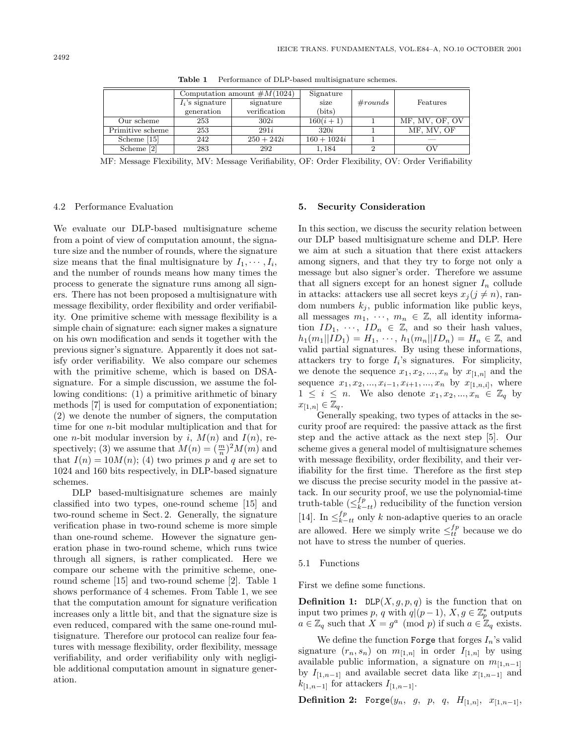|                  | Computation amount $\#M(1024)$ |              | Signature       |         |                |
|------------------|--------------------------------|--------------|-----------------|---------|----------------|
|                  | $I_i$ 's signature             | signature    | size            | #rounds | Features       |
|                  | generation                     | verification | $_{\rm (bits)}$ |         |                |
| Our scheme       | 253                            | 302i         | $160(i + 1)$    |         | MF, MV, OF, OV |
| Primitive scheme | 253                            | 291i         | 320i            |         | MF, MV, OF     |
| Scheme [15]      | 242                            | $250 + 242i$ | $160 + 1024i$   |         |                |
| Scheme [2]       | 283                            | 292          | 1,184           |         | ΟV             |

**Table 1** Performance of DLP-based multisignature schemes.

MF: Message Flexibility, MV: Message Verifiability, OF: Order Flexibility, OV: Order Verifiability

### 4.2 Performance Evaluation

We evaluate our DLP-based multisignature scheme from a point of view of computation amount, the signature size and the number of rounds, where the signature size means that the final multisignature by  $I_1, \dots, I_i$ , and the number of rounds means how many times the process to generate the signature runs among all signers. There has not been proposed a multisignature with message flexibility, order flexibility and order verifiability. One primitive scheme with message flexibility is a simple chain of signature: each signer makes a signature on his own modification and sends it together with the previous signer's signature. Apparently it does not satisfy order verifiability. We also compare our schemes with the primitive scheme, which is based on DSAsignature. For a simple discussion, we assume the following conditions: (1) a primitive arithmetic of binary methods [7] is used for computation of exponentiation; (2) we denote the number of signers, the computation time for one n-bit modular multiplication and that for one *n*-bit modular inversion by i,  $M(n)$  and  $I(n)$ , respectively; (3) we assume that  $M(n) = \left(\frac{m}{n}\right)^2 M(m)$  and that  $I(n) = 10M(n)$ ; (4) two primes p and q are set to 1024 and 160 bits respectively, in DLP-based signature schemes.

DLP based-multisignature schemes are mainly classified into two types, one-round scheme [15] and two-round scheme in Sect. 2. Generally, the signature verification phase in two-round scheme is more simple than one-round scheme. However the signature generation phase in two-round scheme, which runs twice through all signers, is rather complicated. Here we compare our scheme with the primitive scheme, oneround scheme [15] and two-round scheme [2]. Table 1 shows performance of 4 schemes. From Table 1, we see that the computation amount for signature verification increases only a little bit, and that the signature size is even reduced, compared with the same one-round multisignature. Therefore our protocol can realize four features with message flexibility, order flexibility, message verifiability, and order verifiability only with negligible additional computation amount in signature generation.

## **5. Security Consideration**

In this section, we discuss the security relation between our DLP based multisignature scheme and DLP. Here we aim at such a situation that there exist attackers among signers, and that they try to forge not only a message but also signer's order. Therefore we assume that all signers except for an honest signer  $I_n$  collude in attacks: attackers use all secret keys  $x_j (j \neq n)$ , random numbers  $k_j$ , public information like public keys, all messages  $m_1, \dots, m_n \in \mathbb{Z}$ , all identity information  $ID_1, \cdots, ID_n \in \mathbb{Z}$ , and so their hash values,  $h_1(m_1||ID_1) = H_1, \dots, h_1(m_n||ID_n) = H_n \in \mathbb{Z}$ , and valid partial signatures. By using these informations, attackers try to forge  $I_i$ 's signatures. For simplicity, we denote the sequence  $x_1, x_2, ..., x_n$  by  $x_{[1,n]}$  and the sequence  $x_1, x_2, ..., x_{i-1}, x_{i+1}, ..., x_n$  by  $x_{[1,n,i]}$ , where  $1 \leq i \leq n$ . We also denote  $x_1, x_2, ..., x_n \in \mathbb{Z}_q$  by  $x_{[1,n]} \in \mathbb{Z}_q$ .

Generally speaking, two types of attacks in the security proof are required: the passive attack as the first step and the active attack as the next step [5]. Our scheme gives a general model of multisignature schemes with message flexibility, order flexibility, and their verifiability for the first time. Therefore as the first step we discuss the precise security model in the passive attack. In our security proof, we use the polynomial-time truth-table  $\left(\leq_{k-tt}^{fp}\right)$  reducibility of the function version [14]. In  $\leq_{k-tt}^{fp}$  only k non-adaptive queries to an oracle are allowed. Here we simply write  $\leq_{tt}^{fp}$  because we do not have to stress the number of queries.

#### 5.1 Functions

First we define some functions.

**Definition 1:** DLP $(X, g, p, q)$  is the function that on input two primes p, q with  $q|(p-1)$ ,  $X, g \in \mathbb{Z}_p^*$  outputs  $a \in \mathbb{Z}_q$  such that  $X = g^a \pmod{p}$  if such  $a \in \mathbb{Z}_q$  exists.

We define the function Forge that forges  $I_n$ 's valid signature  $(r_n, s_n)$  on  $m_{[1,n]}$  in order  $I_{[1,n]}$  by using available public information, a signature on  $m_{[1,n-1]}$ by  $I_{[1,n-1]}$  and available secret data like  $x_{[1,n-1]}$  and  $k_{[1,n-1]}$  for attackers  $I_{[1,n-1]}$ .

**Definition 2:** Forge $(y_n, g, p, q, H_{[1,n]}, x_{[1,n-1]},$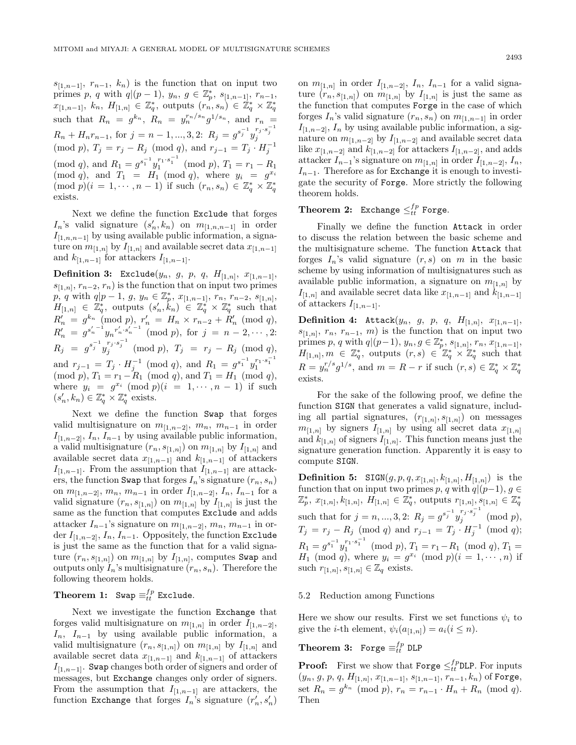$s_{[1,n-1]}, r_{n-1}, k_n)$  is the function that on input two primes p, q with  $q|(p-1)$ ,  $y_n, g \in \mathbb{Z}_p^*$ ,  $s_{[1,n-1]}, r_{n-1}$ ,  $x_{[1,n-1]},\ k_n,\ H_{[1,n]}\ \in\ \mathbb{Z}_q^*,$  outputs  $(r_n,s_n)\ \in\ \mathbb{Z}_q^*\times\mathbb{Z}_q^*$ such that  $R_n = g^{k_n}$ ,  $R_n = y_n^{r_n/s_n} g^{1/s_n}$ , and  $r_n =$  $R_n + H_n r_{n-1}$ , for  $j = n - 1, ..., 3, 2$ :  $R_j = g^{s_j^{-1}} y_j^{r_j \cdot s_j^{-1}}$ (mod *p*),  $T_j = r_j - R_j \pmod{q}$ , and  $r_{j-1} = T_j \cdot H_j^{-1}$ (mod q), and  $R_1 = g^{s_1^{-1}} y_1^{r_1 \cdot s_1^{-1}} \pmod{p}$ ,  $T_1 = r_1 - R_1$ (mod q), and  $T_1 = H_1 \pmod{q}$ , where  $y_i = g^{x_i}$  $(\text{mod } p)(i = 1, \dots, n-1)$  if such  $(r_n, s_n) \in \mathbb{Z}_q^* \times \mathbb{Z}_q^*$ exists.

Next we define the function Exclude that forges  $I_n$ 's valid signature  $(s'_n, k_n)$  on  $m_{[1,n,n-1]}$  in order  $I_{[1,n,n-1]}$  by using available public information, a signature on  $m_{[1,n]}$  by  $I_{[1,n]}$  and available secret data  $x_{[1,n-1]}$ and  $k_{[1,n-1]}$  for attackers  $I_{[1,n-1]}$ .

**Definition 3:** Exclude $(y_n, g, p, q, H_{[1,n]}, x_{[1,n-1]},$  $s_{[1,n]}, r_{n-2}, r_n)$  is the function that on input two primes  $p, q$  with  $q|p-1, g, y_n \in \mathbb{Z}_p^*, x_{[1,n-1]}, r_n, r_{n-2}, s_{[1,n]},$  $H_{[1,n]} \in \mathbb{Z}_q^*$ , outputs  $(s'_n, k_n) \in \mathbb{Z}_q^* \times \mathbb{Z}_q^*$  such that  $R'_n = g^{k_n} \pmod{p}, \ r'_n = H_n \times r_{n-2} + R'_n \pmod{q},$  $R'_n = g^{s'_n-1} y_n^{r'_n \cdot s'_n-1} \pmod{p}$ , for  $j = n-2, \dots, 2$ :  $R_j = g^{s_j^{-1}} y_j^{r_j \cdot s_j^{-1}} \pmod{p}, \ \ T_j \ = \ r_j \ - R_j \pmod{q},$ and  $r_{j-1} = T_j \cdot H_j^{-1} \pmod{q}$ , and  $R_1 = g^{s_1^{-1}} y_1^{r_1 \cdot s_1^{-1}}$ (mod p),  $T_1 = r_1 - R_1 \pmod{q}$ , and  $T_1 = H_1 \pmod{q}$ , where  $y_i = g^{x_i} \pmod{p}$   $(i = 1, \dots, n-1)$  if such  $(s'_n, k_n) \in \mathbb{Z}_q^* \times \mathbb{Z}_q^*$  exists.

Next we define the function Swap that forges valid multisignature on  $m_{[1,n-2]}$ ,  $m_n$ ,  $m_{n-1}$  in order  $I_{[1,n-2]}$ ,  $I_n$ ,  $I_{n-1}$  by using available public information, a valid multisignature  $(r_n, s_{[1,n]})$  on  $m_{[1,n]}$  by  $I_{[1,n]}$  and available secret data  $x_{[1,n-1]}$  and  $k_{[1,n-1]}$  of attackers  $I_{[1,n-1]}$ . From the assumption that  $I_{[1,n-1]}$  are attackers, the function Swap that forges  $I_n$ 's signature  $(r_n, s_n)$ on  $m_{[1,n-2]}$ ,  $m_n$ ,  $m_{n-1}$  in order  $I_{[1,n-2]}$ ,  $I_n$ ,  $I_{n-1}$  for a valid signature  $(r_n, s_{[1,n]})$  on  $m_{[1,n]}$  by  $I_{[1,n]}$  is just the same as the function that computes Exclude and adds attacker  $I_{n-1}$ 's signature on  $m_{[1,n-2]}$ ,  $m_n$ ,  $m_{n-1}$  in order  $I_{[1,n-2]}$ ,  $I_n$ ,  $I_{n-1}$ . Oppositely, the function Exclude is just the same as the function that for a valid signature  $(r_n, s_{[1,n]})$  on  $m_{[1,n]}$  by  $I_{[1,n]}$ , computes Swap and outputs only  $I_n$ 's multisignature  $(r_n, s_n)$ . Therefore the following theorem holds.

# **Theorem 1:** Swap  $\equiv_{tt}^{fp}$  Exclude.

Next we investigate the function Exchange that forges valid multisignature on  $m_{[1,n]}$  in order  $I_{[1,n-2]}$ ,  $I_n$ ,  $I_{n-1}$  by using available public information, a valid multisignature  $(r_n, s_{[1,n]})$  on  $m_{[1,n]}$  by  $I_{[1,n]}$  and available secret data  $x_{[1,n-1]}$  and  $k_{[1,n-1]}$  of attackers  $I_{[1,n-1]}$ . Swap changes both order of signers and order of messages, but Exchange changes only order of signers. From the assumption that  $I_{[1,n-1]}$  are attackers, the function Exchange that forges  $I_n$ 's signature  $(r'_n, s'_n)$ 

on  $m_{[1,n]}$  in order  $I_{[1,n-2]}$ ,  $I_n$ ,  $I_{n-1}$  for a valid signature  $(r_n, s_{[1,n]})$  on  $m_{[1,n]}$  by  $I_{[1,n]}$  is just the same as the function that computes Forge in the case of which forges  $I_n$ 's valid signature  $(r_n, s_n)$  on  $m_{[1,n-1]}$  in order  $I_{[1,n-2]}$ ,  $I_n$  by using available public information, a signature on  $m_{[1,n-2]}$  by  $I_{[1,n-2]}$  and available secret data like  $x_{[1,n-2]}$  and  $k_{[1,n-2]}$  for attackers  $I_{[1,n-2]}$ , and adds attacker  $I_{n-1}$ 's signature on  $m_{[1,n]}$  in order  $I_{[1,n-2]}$ ,  $I_n$ ,  $I_{n-1}$ . Therefore as for Exchange it is enough to investigate the security of Forge. More strictly the following theorem holds.

# $\textbf{Theorem 2:} \;\; \texttt{Exchange} \leq^{fp}_{tt} \texttt{Forge}.$

Finally we define the function Attack in order to discuss the relation between the basic scheme and the multisignature scheme. The function Attack that forges  $I_n$ 's valid signature  $(r, s)$  on m in the basic scheme by using information of multisignatures such as available public information, a signature on  $m_{[1,n]}$  by  $I_{[1,n]}$  and available secret data like  $x_{[1,n-1]}$  and  $k_{[1,n-1]}$ of attackers  $I_{[1,n-1]}$ .

**Definition 4:** Attack $(y_n, g, p, q, H_{[1,n]}, x_{[1,n-1]},$  $s_{[1,n]}, r_n, r_{n-1}, m)$  is the function that on input two primes p, q with  $q|(p-1), y_n, g \in \mathbb{Z}_p^*, s_{[1,n]}, r_n, x_{[1,n-1]},$  $H_{[1,n]}, m \in \mathbb{Z}_q^*$ , outputs  $(r, s) \in \mathbb{Z}_q^* \times \mathbb{Z}_q^*$  such that  $R = y_n^{r/s} g^{1/s}$ , and  $m = R - r$  if such  $(r, s) \in \mathbb{Z}_q^* \times \mathbb{Z}_q^*$ exists.

For the sake of the following proof, we define the function SIGN that generates a valid signature, including all partial signatures,  $(r_{[1,n]}, s_{[1,n]})$  on messages  $m_{[1,n]}$  by signers  $I_{[1,n]}$  by using all secret data  $x_{[1,n]}$ and  $k_{[1,n]}$  of signers  $I_{[1,n]}$ . This function means just the signature generation function. Apparently it is easy to compute SIGN.

**Definition 5:** SIGN $(g, p, q, x_{[1,n]}, k_{[1,n]}, H_{[1,n]})$  is the function that on input two primes p, q with  $q|(p-1)$ ,  $g \in$  $\mathbb{Z}_p^*, \ x_{[1,n]}, k_{[1,n]}, \ H_{[1,n]} \in \mathbb{Z}_q^*,$  outputs  $r_{[1,n]}, s_{[1,n]} \in \mathbb{Z}_q^*$ such that for  $j = n, ..., 3, 2$ :  $R_j = g^{s_j^{-1}} y_j^{r_j \cdot s_j^{-1}} \pmod{p}$ ,  $T_j = r_j - R_j \pmod{q}$  and  $r_{j-1} = T_j \cdot H_j^{-1} \pmod{q}$ ;  $R_1 = g^{s_1^{-1}} y_1^{r_1 \cdot s_1^{-1}} \pmod{p}, T_1 = r_1 - R_1 \pmod{q}, T_1 =$  $H_1 \pmod{q}$ , where  $y_i = g^{x_i} \pmod{p}$   $(i = 1, \dots, n)$  if such  $r_{[1,n]}, s_{[1,n]} \in \mathbb{Z}_q$  exists.

# 5.2 Reduction among Functions

Here we show our results. First we set functions  $\psi_i$  to give the *i*-th element,  $\psi_i(a_{[1,n]}) = a_i(i \leq n)$ .

# $\textbf{Theorem 3:} \;\; \texttt{Forge} \equiv^{fp}_{tt} \texttt{DLP}$

**Proof:** First we show that Forge  $\leq_{tt}^{fp}$ DLP. For inputs  $(y_n, g, p, q, H_{[1,n]}, x_{[1,n-1]}, s_{[1,n-1]}, r_{n-1}, k_n)$  of Forge, set  $R_n = g^{k_n} \pmod{p}$ ,  $r_n = r_{n-1} \cdot H_n + R_n \pmod{q}$ . Then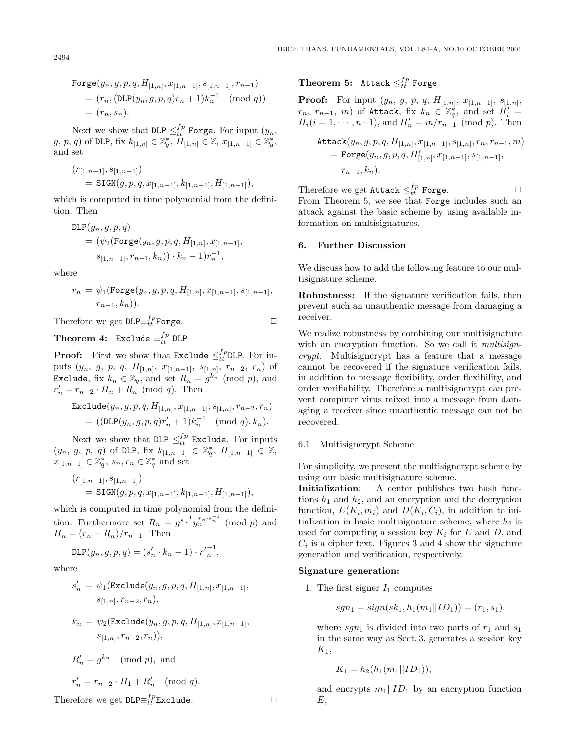Forge
$$
(y_n, g, p, q, H_{[1,n]}, x_{[1,n-1]}, s_{[1,n-1]}, r_{n-1})
$$
  
=  $(r_n, (\text{DLP}(y_n, g, p, q)r_n + 1)k_n^{-1} \pmod{q})$   
=  $(r_n, s_n)$ .

Next we show that DLP  $\leq_{tt}^{fp}$  Forge. For input  $(y_n,$  $(g, p, q)$  of DLP, fix  $k_{[1,n]} \in \mathbb{Z}_q^*$ ,  $H_{[1,n]} \in \mathbb{Z}$ ,  $x_{[1,n-1]} \in \mathbb{Z}_q^*$ , and set

$$
(r_{[1,n-1]}, s_{[1,n-1]})
$$
  
=  $\text{STGN}(g, p, q, x_{[1,n-1]}, k_{[1,n-1]}, H_{[1,n-1]}),$ 

which is computed in time polynomial from the definition. Then

$$
DLP(y_n, g, p, q)
$$
  
=  $(\psi_2(\text{Forge}(y_n, g, p, q, H_{[1,n]}, x_{[1,n-1]},$   
 $s_{[1,n-1]}, r_{n-1}, k_n)) \cdot k_n - 1)r_n^{-1},$ 

where

$$
r_n = \psi_1(\text{Forge}(y_n, g, p, q, H_{[1,n]}, x_{[1,n-1]}, s_{[1,n-1]},
$$
  

$$
r_{n-1}, k_n)).
$$

Therefore we get  $\texttt{DLP} \equiv_{tt}^{fp} \texttt{Forge.}$ 

Theorem 4: Exclude  $\equiv_{tt}^{fp}$  DLP

**Proof:** First we show that Exclude  $\leq_{tt}^{fp}$ DLP. For inputs  $(y_n, g, p, q, H_{[1,n]}, x_{[1,n-1]}, s_{[1,n]}, r_{n-2}, r_n)$  of Exclude, fix  $k_n \in \mathbb{Z}_q$ , and set  $R_n = g^{k_n} \pmod{p}$ , and  $r'_n = r_{n-2} \cdot H_n + R_n \pmod{q}$ . Then

$$
\begin{aligned} \texttt{Exclude}(y_n, g, p, q, H_{[1,n]}, x_{[1,n-1]}, s_{[1,n]}, r_{n-2}, r_n) \\ &= ((\texttt{DLP}(y_n, g, p, q)r'_n + 1)k_n^{-1} \pmod{q}, k_n). \end{aligned}
$$

Next we show that DLP  $\leq^{fp}_{tt}$  Exclude. For inputs  $(y_n, g, p, q)$  of DLP,  $\text{fix } k_{[1,n-1]} \in \mathbb{Z}_q^*, H_{[1,n-1]} \in \mathbb{Z},$  $x_{[1,n-1]} \in \mathbb{Z}_q^*$ ,  $s_n, r_n \in \mathbb{Z}_q^*$  and set

$$
\begin{aligned} & (r_{[1,n-1]},s_{[1,n-1]}) \\ & = \texttt{SGN}(g,p,q,x_{[1,n-1]},k_{[1,n-1]},H_{[1,n-1]}), \end{aligned}
$$

which is computed in time polynomial from the definition. Furthermore set  $R_n = g^{s_n^{-1}} y_n^{r_n \cdot s_n^{-1}} \pmod{p}$  and  $H_n = (r_n - R_n)/r_{n-1}$ . Then

$$
DLP(y_n, g, p, q) = (s'_n \cdot k_n - 1) \cdot r'_n^{-1},
$$

where

$$
\begin{aligned} s_n' \,=\, &\psi_1(\mathrm{Exclude}(y_n,g,p,q,H_{[1,n]},x_{[1,n-1]},\\ &s_{[1,n]},r_{n-2},r_n), \end{aligned}
$$

$$
\begin{aligned} k_n \, & = \, \psi_2(\texttt{Exclude}(y_n, g, p, q, H_{[1,n]}, x_{[1,n-1]}, \\ & \, s_{[1,n]}, r_{n-2}, r_n)), \end{aligned}
$$

$$
R'_{n} = g^{k_{n}} \pmod{p}, \text{ and}
$$
  

$$
r'_{n} = r_{n-2} \cdot H_1 + R'_{n} \pmod{q}.
$$

Therefore we get  $\texttt{DLP} \equiv_{tt}^{fp} \texttt{Exclude}.$ 

# $\textbf{Theorem 5:} \;\; \texttt{Attack} \leq^{fp}_{tt} \texttt{Forge}$

**Proof:** For input  $(y_n, g, p, q, H_{[1,n]}, x_{[1,n-1]}, s_{[1,n]},$  $r_n, r_{n-1}, m$  of Attack, fix  $k_n \in \mathbb{Z}_q^*$ , and set  $H_i' =$  $H_i(i = 1, \dots, n-1)$ , and  $H'_n = m/r_{n-1} \pmod{p}$ . Then

$$
\begin{aligned} \texttt{Attack}(y_n, g, p, q, H_{[1,n]}, x_{[1,n-1]}, s_{[1,n]}, r_n, r_{n-1}, m) \\ &= \texttt{Forge}(y_n, g, p, q, H'_{[1,n]}, x_{[1,n-1]}, s_{[1,n-1]}, \\ &r_{n-1}, k_n). \end{aligned}
$$

Therefore we get  $\texttt{Attack} \leq^{fp}_{tt} \texttt{Forge.}$ From Theorem 5, we see that Forge includes such an attack against the basic scheme by using available information on multisignatures.

#### **6. Further Discussion**

We discuss how to add the following feature to our multisignature scheme.

**Robustness:** If the signature verification fails, then prevent such an unauthentic message from damaging a receiver.

We realize robustness by combining our multisignature with an encryption function. So we call it *multisign*crypt. Multisigncrypt has a feature that a message cannot be recovered if the signature verification fails, in addition to message flexibility, order flexibility, and order verifiability. Therefore a multisigncrypt can prevent computer virus mixed into a message from damaging a receiver since unauthentic message can not be recovered.

# 6.1 Multisigncrypt Scheme

For simplicity, we present the multisigncrypt scheme by using our basic multisignature scheme.

**Initialization:** A center publishes two hash functions  $h_1$  and  $h_2$ , and an encryption and the decryption function,  $E(K_i, m_i)$  and  $D(K_i, C_i)$ , in addition to initialization in basic multisignature scheme, where  $h_2$  is used for computing a session key  $K_i$  for E and D, and  $C_i$  is a cipher text. Figures 3 and 4 show the signature generation and verification, respectively.

#### **Signature generation:**

1. The first signer  $I_1$  computes

$$
sgn_1 = sign(sk_1, h_1(m_1||ID_1)) = (r_1, s_1),
$$

where  $sgn_1$  is divided into two parts of  $r_1$  and  $s_1$ in the same way as Sect. 3, generates a session key  $K_1$ ,

$$
K_1 = h_2(h_1(m_1||ID_1)),
$$

and encrypts  $m_1||ID_1$  by an encryption function E,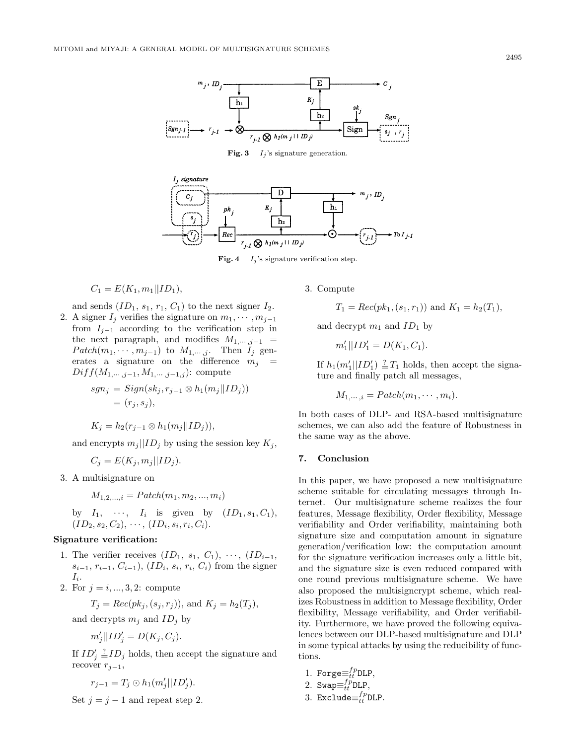

**Fig. 3**  $I_i$ 's signature generation.



**Fig. 4**  $I_j$ 's signature verification step.

$$
C_1 = E(K_1, m_1 || ID_1),
$$

and sends  $(ID_1, s_1, r_1, C_1)$  to the next signer  $I_2$ .

2. A signer  $I_j$  verifies the signature on  $m_1, \dots, m_{j-1}$ from  $I_{j-1}$  according to the verification step in the next paragraph, and modifies  $M_{1,\dots, j-1}$  =  $Patch(m_1, \dots, m_{j-1})$  to  $M_{1, \dots, j}$ . Then  $I_j$  generates a signature on the difference  $m_i$  =  $Diff(M_{1,\cdots,j-1},M_{1,\cdots,j-1,j})$ : compute

$$
sgn_j = Sign(sk_j, r_{j-1} \otimes h_1(m_j||ID_j))
$$
  
=  $(r_j, s_j),$ 

$$
K_j = h_2(r_{j-1} \otimes h_1(m_j||ID_j)),
$$

and encrypts  $m_j || ID_j$  by using the session key  $K_j$ ,

$$
C_j = E(K_j, m_j || ID_j).
$$

3. Amultisignature on

$$
M_{1,2,...,i} = \text{Patch}(m_1, m_2, ..., m_i)
$$

by 
$$
I_1, \dots, I_i
$$
 is given by  $(ID_1, s_1, C_1),$   
 $(ID_2, s_2, C_2), \dots, (ID_i, s_i, r_i, C_i).$ 

### **Signature verification:**

- 1. The verifier receives  $(ID_1, s_1, C_1), \cdots, (ID_{i-1},$  $s_{i-1}, r_{i-1}, C_{i-1}$ ,  $(ID_i, s_i, r_i, C_i)$  from the signer  $I_i$ .
- 2. For  $j = i, ..., 3, 2$ : compute

$$
T_j = Rec(pk_j, (s_j, r_j)), \text{ and } K_j = h_2(T_j),
$$

and decrypts  $m_j$  and  $ID_j$  by

$$
m_j'||ID_j' = D(K_j, C_j).
$$

If  $ID'_j \stackrel{?}{=} ID_j$  holds, then accept the signature and recover  $r_{i-1}$ ,

$$
r_{j-1}=T_j\odot h_1(m'_j||ID'_j).
$$

Set  $j = j - 1$  and repeat step 2.

3. Compute

$$
T_1 = Rec(pk_1, (s_1, r_1))
$$
 and  $K_1 = h_2(T_1)$ ,

and decrypt  $m_1$  and  $ID_1$  by

$$
m'_1||ID'_1 = D(K_1, C_1).
$$

If  $h_1(m'_1||ID'_1) \stackrel{?}{=} T_1$  holds, then accept the signature and finally patch all messages,

$$
M_{1,\dots,i} = \text{Patch}(m_1,\dots,m_i).
$$

In both cases of DLP- and RSA-based multisignature schemes, we can also add the feature of Robustness in the same way as the above.

#### **7. Conclusion**

In this paper, we have proposed a new multisignature scheme suitable for circulating messages through Internet. Our multisignature scheme realizes the four features, Message flexibility, Order flexibility, Message verifiability and Order verifiability, maintaining both signature size and computation amount in signature generation/verification low: the computation amount for the signature verification increases only a little bit, and the signature size is even reduced compared with one round previous multisignature scheme. We have also proposed the multisigncrypt scheme, which realizes Robustness in addition to Message flexibility, Order flexibility, Message verifiability, and Order verifiability. Furthermore, we have proved the following equivalences between our DLP-based multisignature and DLP in some typical attacks by using the reducibility of functions.

1. For 
$$
ge \equiv_{tt}^{fp}
$$
 DLP,

2. 
$$
Sup\equiv_{tt}^{fp} DLP,
$$

3. 
$$
\texttt{Exclude} \equiv_{tt}^{fp} \texttt{DLP}.
$$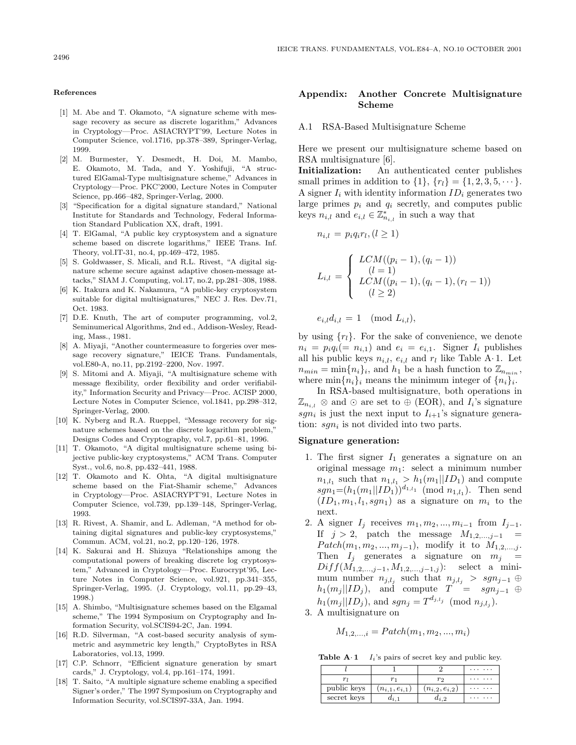#### **References**

- [1] M. Abe and T. Okamoto, "A signature scheme with message recovery as secure as discrete logarithm," Advances in Cryptology—Proc. ASIACRYPT'99, Lecture Notes in Computer Science, vol.1716, pp.378–389, Springer-Verlag, 1999.
- [2] M. Burmester, Y. Desmedt, H. Doi, M. Mambo, E. Okamoto, M. Tada, and Y. Yoshifuji, "A structured ElGamal-Type multisignature scheme," Advances in Cryptology—Proc. PKC'2000, Lecture Notes in Computer Science, pp.466–482, Springer-Verlag, 2000.
- [3] "Specification for a digital signature standard," National Institute for Standards and Technology, Federal Information Standard Publication XX, draft, 1991.
- [4] T. ElGamal, "A public key cryptosystem and a signature scheme based on discrete logarithms," IEEE Trans. Inf. Theory, vol.IT-31, no.4, pp.469–472, 1985.
- [5] S. Goldwasser, S. Micali, and R.L. Rivest, "A digital signature scheme secure against adaptive chosen-message attacks," SIAM J. Computing, vol.17, no.2, pp.281–308, 1988.
- [6] K. Itakura and K. Nakamura, "A public-key cryptosystem suitable for digital multisignatures," NEC J. Res. Dev.71, Oct. 1983.
- [7] D.E. Knuth, The art of computer programming, vol.2, Seminumerical Algorithms, 2nd ed., Addison-Wesley, Reading, Mass., 1981.
- [8] A. Miyaji, "Another countermeasure to forgeries over message recovery signature," IEICE Trans. Fundamentals, vol.E80-A, no.11, pp.2192–2200, Nov. 1997.
- [9] S. Mitomi and A. Miyaji, "A multisignature scheme with message flexibility, order flexibility and order verifiability," Information Security and Privacy—Proc. ACISP 2000, Lecture Notes in Computer Science, vol.1841, pp.298–312, Springer-Verlag, 2000.
- [10] K. Nyberg and R.A. Rueppel, "Message recovery for signature schemes based on the discrete logarithm problem," Designs Codes and Cryptography, vol.7, pp.61–81, 1996.
- [11] T. Okamoto, "A digital multisignature scheme using bijective public-key cryptosystems," ACM Trans. Computer Syst., vol.6, no.8, pp.432–441, 1988.
- [12] T. Okamoto and K. Ohta, "A digital multisignature scheme based on the Fiat-Shamir scheme," Advances in Cryptology—Proc. ASIACRYPT'91, Lecture Notes in Computer Science, vol.739, pp.139–148, Springer-Verlag, 1993.
- [13] R. Rivest, A. Shamir, and L. Adleman, "A method for obtaining digital signatures and public-key cryptosystems," Commun. ACM, vol.21, no.2, pp.120–126, 1978.
- [14] K. Sakurai and H. Shizuya "Relationships among the computational powers of breaking discrete log cryptosystem," Advanced in Cryptology—Proc. Eurocrypt'95, Lecture Notes in Computer Science, vol.921, pp.341–355, Springer-Verlag, 1995. (J. Cryptology, vol.11, pp.29–43, 1998.)
- [15] A. Shimbo, "Multisignature schemes based on the Elgamal scheme," The 1994 Symposium on Cryptography and Information Security, vol.SCIS94-2C, Jan. 1994.
- [16] R.D. Silverman, "A cost-based security analysis of symmetric and asymmetric key length," CryptoBytes in RSA Laboratories, vol.13, 1999.
- [17] C.P. Schnorr, "Efficient signature generation by smart cards," J. Cryptology, vol.4, pp.161–174, 1991.
- [18] T. Saito, "A multiple signature scheme enabling a specified Signer's order," The 1997 Symposium on Cryptography and Information Security, vol.SCIS97-33A, Jan. 1994.

# **Appendix:Another Concrete Multisignature Scheme**

## A.1 RSA-Based Multisignature Scheme

Here we present our multisignature scheme based on RSAmultisignature [6].

**Initialization:** An authenticated center publishes small primes in addition to  $\{1\}$ ,  $\{r_l\} = \{1, 2, 3, 5, \dots\}$ . A signer  $I_i$  with identity information  $ID_i$  generates two large primes  $p_i$  and  $q_i$  secretly, and computes public keys  $n_{i,l}$  and  $e_{i,l} \in \mathbb{Z}_{n_{i,l}}^*$  in such a way that

$$
n_{i,l} = p_i q_i r_l, (l \ge 1)
$$

$$
L_{i,l} = \begin{cases} LCM((p_i - 1), (q_i - 1)) \\ (l = 1) \\ LCM((p_i - 1), (q_i - 1), (r_l - 1)) \\ (l \ge 2) \end{cases}
$$

 $e_{i,l}d_{i,l} = 1 \pmod{L_{i,l}},$ 

by using  $\{r_l\}$ . For the sake of convenience, we denote  $n_i = p_i q_i (= n_{i,1})$  and  $e_i = e_{i,1}$ . Signer  $I_i$  publishes all his public keys  $n_{i,l}$ ,  $e_{i,l}$  and  $r_l$  like Table A· 1. Let  $n_{min} = \min\{n_i\}_i$ , and  $h_1$  be a hash function to  $\mathbb{Z}_{n_{min}}$ , where  $\min\{n_i\}_i$  means the minimum integer of  $\{n_i\}_i$ .

In RSA-based multisignature, both operations in  $\mathbb{Z}_{n_{i,l}} \otimes$  and  $\odot$  are set to  $\oplus$  (EOR), and  $I_i$ 's signature sgn<sub>i</sub> is just the next input to  $I_{i+1}$ 's signature generation:  $sgn_i$  is not divided into two parts.

#### **Signature generation:**

- 1. The first signer  $I_1$  generates a signature on an original message  $m_1$ : select a minimum number  $n_{1,l_1}$  such that  $n_{1,l_1} > h_1(m_1||ID_1)$  and compute  $sgn_1=(h_1(m_1||ID_1))^{d_{1,l_1}} \pmod{n_{1,l_1}}$ . Then send  $(ID_1, m_1, l_1, sgn_1)$  as a signature on  $m_i$  to the next.
- 2. A signer  $I_j$  receives  $m_1, m_2, ..., m_{i-1}$  from  $I_{j-1}$ . If  $j > 2$ , patch the message  $M_{1,2,\dots,j-1}$  =  $Patch(m_1, m_2, ..., m_{j-1}),$  modify it to  $M_{1,2,...,j}.$ Then  $I_j$  generates a signature on  $m_j =$  $Diff(M_{1,2,...,j-1}, M_{1,2,...,j-1,j})$ : select a minimum number  $n_{i,l_i}$  such that  $n_{j,l_i} > sgn_{j-1} \oplus$  $h_1(m_j || ID_j)$ , and compute  $T = sgn_{j-1} \oplus$  $h_1(m_j||ID_j)$ , and  $sgn_j = T^{d_{j,l_j}} \pmod{n_{j,l_j}}$ .
- 3. Amultisignature on

$$
M_{1,2,...,i} = \text{Patch}(m_1, m_2, ..., m_i)
$$

**Table A· 1**  $I_i$ 's pairs of secret key and public key.

|             |                     |                     | .                    |
|-------------|---------------------|---------------------|----------------------|
|             |                     | $r_{\Omega}$        | $\ddot{\phantom{0}}$ |
| public keys | $(n_{i,1},e_{i,1})$ | $(n_{i,2},e_{i,2})$ |                      |
| secret keys | $a_{i}$             | $a_{i,2}$           |                      |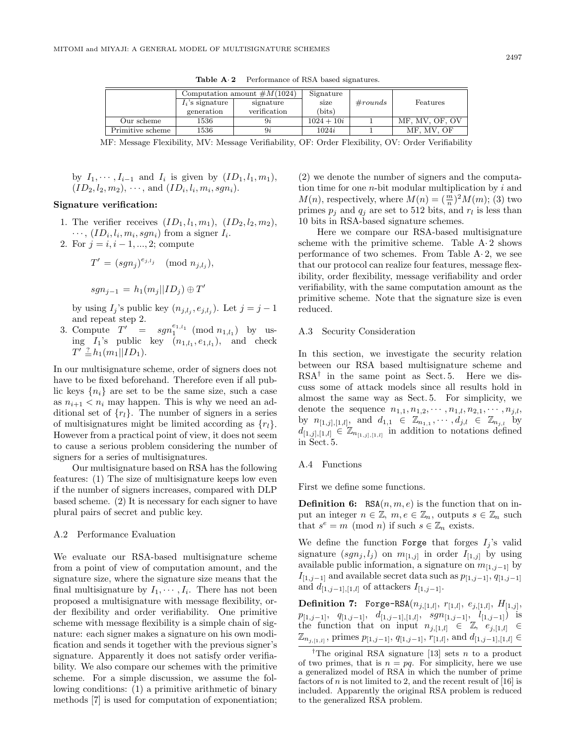|                  | Computation amount $\#M(1024)$ |              | Signature       |         |                |
|------------------|--------------------------------|--------------|-----------------|---------|----------------|
|                  | $I_i$ 's signature             | signature    | size            | #rounds | Features       |
|                  | generation                     | verification | $_{\rm (bits)}$ |         |                |
| Our scheme       | 1536                           | 9ż           | $1024 + 10i$    |         | MF. MV. OF. OV |
| Primitive scheme | 1536                           | 9ż           | 1024i           |         | MF. MV. OF     |

**Table A**· **2** Performance of RSA based signatures.

MF: Message Flexibility, MV: Message Verifiability, OF: Order Flexibility, OV: Order Verifiability

by 
$$
I_1, \dots, I_{i-1}
$$
 and  $I_i$  is given by  $(ID_1, l_1, m_1)$ ,  $(ID_2, l_2, m_2), \dots$ , and  $(ID_i, l_i, m_i, sgn_i)$ .

### **Signature verification:**

- 1. The verifier receives  $(ID_1, l_1, m_1), (ID_2, l_2, m_2),$  $\cdots$ ,  $(ID_i, l_i, m_i, sgn_i)$  from a signer  $I_i$ .
- 2. For  $j = i, i 1, ..., 2$ ; compute

$$
T' = (sgn_j)^{e_{j,l_j}} \pmod{n_{j,l_j}},
$$

$$
sgn_{j-1} = h_1(m_j||ID_j) \oplus T'
$$

by using  $I_j$ 's public key  $(n_{j,l_i}, e_{j,l_i})$ . Let  $j = j - 1$ and repeat step 2.

3. Compute  $T' = sgn_1^{e_{1,l_1}} \pmod{n_{1,l_1}}$  by using  $I_1$ 's public key  $(n_{1,l_1}, e_{1,l_1})$ , and check  $T' \stackrel{?}{=} h_1(m_1||ID_1).$ 

In our multisignature scheme, order of signers does not have to be fixed beforehand. Therefore even if all public keys  $\{n_i\}$  are set to be the same size, such a case as  $n_{i+1} < n_i$  may happen. This is why we need an additional set of  $\{r_l\}$ . The number of signers in a series of multisignatures might be limited according as  $\{r_l\}$ . However from a practical point of view, it does not seem to cause a serious problem considering the number of signers for a series of multisignatures.

Our multisignature based on RSAhas the following features: (1) The size of multisignature keeps low even if the number of signers increases, compared with DLP based scheme. (2) It is necessary for each signer to have plural pairs of secret and public key.

#### A.2 Performance Evaluation

We evaluate our RSA-based multisignature scheme from a point of view of computation amount, and the signature size, where the signature size means that the final multisignature by  $I_1, \dots, I_i$ . There has not been proposed a multisignature with message flexibility, order flexibility and order verifiability. One primitive scheme with message flexibility is a simple chain of signature: each signer makes a signature on his own modification and sends it together with the previous signer's signature. Apparently it does not satisfy order verifiability. We also compare our schemes with the primitive scheme. For a simple discussion, we assume the following conditions: (1) a primitive arithmetic of binary methods [7] is used for computation of exponentiation; (2) we denote the number of signers and the computation time for one  $n$ -bit modular multiplication by  $i$  and  $M(n)$ , respectively, where  $M(n) = \left(\frac{m}{n}\right)^2 M(m)$ ; (3) two primes  $p_i$  and  $q_i$  are set to 512 bits, and  $r_l$  is less than 10 bits in RSA-based signature schemes.

Here we compare our RSA-based multisignature scheme with the primitive scheme. Table  $A \cdot 2$  shows performance of two schemes. From Table  $A \cdot 2$ , we see that our protocol can realize four features, message flexibility, order flexibility, message verifiability and order verifiability, with the same computation amount as the primitive scheme. Note that the signature size is even reduced.

# A.3 Security Consideration

In this section, we investigate the security relation between our RSAbased multisignature scheme and  $RSA^{\dagger}$  in the same point as Sect. 5. Here we discuss some of attack models since all results hold in almost the same way as Sect. 5. For simplicity, we denote the sequence  $n_{1,1}, n_{1,2}, \cdots, n_{1,l}, n_{2,1}, \cdots, n_{j,l}$ , by  $n_{[1,j],[1,l]},$  and  $d_{1,1} \in \mathbb{Z}_{n_{1,1}}, \cdots, d_{j,l} \in \mathbb{Z}_{n_{j,l}}$  by  $d_{[1,j],[1,l]} \in \mathbb{Z}_{n_{[1,j],[1,l]}}$  in addition to notations defined in Sect. 5.

# A.4 Functions

First we define some functions.

**Definition 6:** RSA $(n, m, e)$  is the function that on input an integer  $n \in \mathbb{Z}$ ,  $m, e \in \mathbb{Z}_n$ , outputs  $s \in \mathbb{Z}_n$  such that  $s^e = m \pmod{n}$  if such  $s \in \mathbb{Z}_n$  exists.

We define the function Forge that forges  $I_j$ 's valid signature  $(sgn_j, l_j)$  on  $m_{[1,j]}$  in order  $I_{[1,j]}$  by using available public information, a signature on  $m_{[1,j-1]}$  by  $I_{[1,j-1]}$  and available secret data such as  $p_{[1,j-1]}, q_{[1,j-1]}$ and  $d_{[1,j-1],[1,l]}$  of attackers  $I_{[1,j-1]}$ .

**Definition 7:** Forge-RSA $(n_{j,[1,l]}, r_{[1,l]}, e_{j,[1,l]}, H_{[1,j]},$  $p_{[1,j-1]}, q_{[1,j-1]}, d_{[1,j-1],[1,l]}, sgn_{[1,j-1]}, l_{[1,j-1]})$  is the function that on input  $n_{j,[1,l]} \in \mathbb{Z}$ ,  $e_{j,[1,l]} \in$  $\mathbb{Z}_{n_{j,[1,l]}}$ , primes  $p_{[1,j-1]}, q_{[1,j-1]}, r_{[1,l]},$  and  $d_{[1,j-1],[1,l]} \in$ 

<sup>&</sup>lt;sup>†</sup>The original RSA signature [13] sets n to a product of two primes, that is  $n = pq$ . For simplicity, here we use a generalized model of RSA in which the number of prime factors of  $n$  is not limited to 2, and the recent result of [16] is included. Apparently the original RSA problem is reduced to the generalized RSA problem.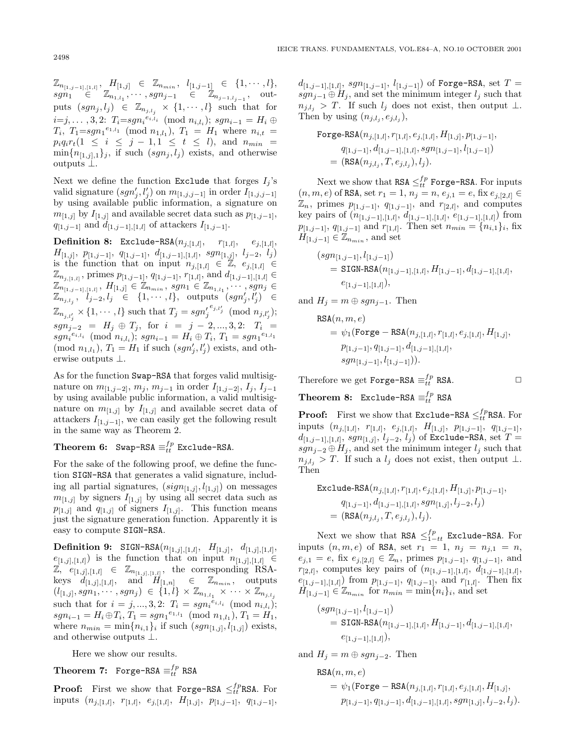$\mathbb{Z}_{n_{[1,j-1],[1,l]}}, H_{[1,j]} \in \mathbb{Z}_{n_{min}}, \ \ l_{[1,j-1]} \ \in \ \{1, \cdots, l\},$  $sgn_1 \in \mathbb{Z}_{n_{1,l_1}}, \cdots, sgn_{j-1} \in \mathbb{Z}_{n_{j-1,l_{j-1}}}, \text{ out-}$ puts  $(sgn_j, l_j) \in \mathbb{Z}_{n_{j,l_j}} \times \{1, \cdots, l\}$  such that for  $i=j, \ldots, 3, 2$ :  $T_i=sgn_i^{e_{i,l_i}} \pmod{n_{i,l_i}}$ ;  $sgn_{i-1} = H_i \oplus$  $T_i$ ,  $T_1 = sgn_1^{e_{1,l_1}} \pmod{n_{1,l_1}}$ ,  $T_1 = H_1$  where  $n_{i,t} =$  $p_iq_ir_t(1 \leq i \leq j-1, 1 \leq t \leq l)$ , and  $n_{min}$  =  $\min\{n_{[1,j],1}\}_j$ , if such  $(sgn_j, l_j)$  exists, and otherwise outputs ⊥.

Next we define the function Exclude that forges  $I_i$ 's valid signature  $(sgn'_j, l'_j)$  on  $m_{[1,j,j-1]}$  in order  $I_{[1,j,j-1]}$ by using available public information, a signature on  $m_{[1,j]}$  by  $I_{[1,j]}$  and available secret data such as  $p_{[1,j-1]},$  $q_{[1,j-1]}$  and  $d_{[1,j-1],[1,l]}$  of attackers  $I_{[1,j-1]}$ .

**Definition 8:** Exclude-RSA $(n_{j,[1,l]}, r_{[1,l]}, e_{j,[1,l]},$  $H_{[1,j]}, \; p_{[1,j-1]}, \; q_{[1,j-1]}, \; d_{[1,j-1],[1,l]}, \; sgn_{[1,j]}, \; l_{j-2}, \; l_j)$ is the function that on input  $n_{j,[1,l]} \in \mathbb{Z}, e_{j,[1,l]} \in$  $\mathbb{Z}_{n_{j,[1,l]}}$ , primes  $p_{[1,j-1]}, q_{[1,j-1]}, r_{[1,l]},$  and  $d_{[1,j-1],[1,l]} \in$  $\mathbb{Z}_{n_{[1,j-1],[1,l]}},\,H_{[1,j]}\in\mathbb{Z}_{n_{min}},\,sgn_1\in\mathbb{Z}_{n_{1,l_1}},\cdots,sgn_j\in$  $\mathbb{Z}_{n_{j,l_j}},\ \ l_{j-2},l_j\ \ \in\ \ \{1,\cdots,l\},\ \ \text{outputs}^-(sgn_j',l_j')\ \ \in$  $\mathbb{Z}_{n_{j,l'_j}} \times \{1, \cdots, l\}$  such that  $T_j = sgn'_j{}^{e_{j,l'_j}} \pmod{n_{j,l'_j}}$ ;  $sgn_{j-2} = H_j \oplus T_j$ , for  $i = j - 2, ..., 3, 2$ :  $T_i =$  $sgn_i^{e_{i,l_i}} \pmod{n_{i,l_i}}$ ;  $sgn_{i-1} = H_i \oplus T_i$ ,  $T_1 = sgn_1^{e_{1,l_1}}$ (mod  $n_{1,l_1}$ ),  $T_1 = H_1$  if such  $(sgn'_j, l'_j)$  exists, and otherwise outputs ⊥.

As for the function Swap-RSA that forges valid multisignature on  $m_{[1,j-2]}$ ,  $m_j$ ,  $m_{j-1}$  in order  $I_{[1,j-2]}$ ,  $I_j$ ,  $I_{j-1}$ by using available public information, a valid multisignature on  $m_{[1,j]}$  by  $I_{[1,j]}$  and available secret data of attackers  $I_{[1,j-1]}$ , we can easily get the following result in the same way as Theorem 2.

# **Theorem 6:** Swap-RSA  $\equiv_{tt}^{fp}$  Exclude-RSA.

For the sake of the following proof, we define the function SIGN-RSA that generates a valid signature, including all partial signatures,  $(sign_{[1,j]}, l_{[1,j]})$  on messages  $m_{[1,j]}$  by signers  $I_{[1,j]}$  by using all secret data such as  $p_{[1,j]}$  and  $q_{[1,j]}$  of signers  $I_{[1,j]}$ . This function means just the signature generation function. Apparently it is easy to compute SIGN-RSA.

**Definition 9:** SIGN-RSA $(n_{[1,j],[1,l]}, H_{[1,j]}, d_{[1,j],[1,l]},$  $e_{[1,j],[1,l]}$  is the function that on input  $n_{[1,j],[1,l]} \in$  $\mathbb{Z}, e_{[1,j],[1,l]} \in \mathbb{Z}_{n_{[1,j],[1,l]}},$  the corresponding RSAkeys  $d_{[1,j],[1,l]},$  and  $H_{[1,n]} \in \mathbb{Z}_{n_{min}},$  outputs  $(l_{[1,j]}, sgn_1, \cdots, sgn_j) \in \{1, l\} \times \mathbb{Z}_{n_{1,l_1}} \times \cdots \times \mathbb{Z}_{n_{j,l_j}}$ such that for  $i = j, ..., 3, 2$ :  $T_i = sgn_i^{e_{i,l_i}} \pmod{n_{i,l_i}}$ ;  $sgn_{i-1} = H_i \oplus T_i$ ,  $T_1 = sgn_1^{e_{1,l_1}} \pmod{n_{1,l_1}}$ ,  $T_1 = H_1$ , where  $n_{min} = \min\{n_{i,1}\}\$ if such  $(sgn_{[1,j]}, l_{[1,j]})$  exists, and otherwise outputs ⊥.

Here we show our results.

 $\textbf{Theorem 7:} \;\; \texttt{Forge-RSA} \equiv^{fp}_{tt} \texttt{RSA}$ 

**Proof:** First we show that Forge-RSA  $\leq_{tt}^{fp}$ RSA. For inputs  $(n_{j,[1,l]}, r_{[1,l]}, e_{j,[1,l]}, H_{[1,j]}, p_{[1,j-1]}, q_{[1,j-1]},$   $d_{[1,j-1],[1,l]}, sgn_{[1,j-1]}, l_{[1,j-1]})$  of Forge-RSA, set  $T =$  $sgn_{j-1} \oplus H_j$ , and set the minimum integer  $l_j$  such that  $n_{j,l_i} > T$ . If such  $l_j$  does not exist, then output  $\perp$ . Then by using  $(n_{j,l_i}, e_{j,l_i}),$ 

Forge-RSA(
$$
n_{j,[1,l]}, r_{[1,l]}, e_{j,[1,l]}, H_{[1,j]}, p_{[1,j-1]},
$$
  
\n
$$
q_{[1,j-1]}, d_{[1,j-1],[1,l]}, sgn_{[1,j-1]}, l_{[1,j-1]})
$$
\n
$$
= (RSA(n_{j,l_j}, T, e_{j,l_j}), l_j).
$$

Next we show that  $\texttt{RSA} \leq^{fp}_{tt} \texttt{Forge-RSA}.$  For inputs  $(n,m,e)$  of RSA, set  $r_1=1,\, n_j=n,\, e_{j,1}=e,$  fix  $e_{j,[2,l]}\in$  $\mathbb{Z}_n$ , primes  $p_{[1,j-1]}, q_{[1,j-1]},$  and  $r_{[2,l]},$  and computes key pairs of  $(n_{[1,j-1],[1,l]}, d_{[1,j-1],[1,l]}, e_{[1,j-1],[1,l]})$  from  $p_{[1,j-1]}, q_{[1,j-1]}$  and  $r_{[1,l]}$ . Then set  $n_{min} = \{n_{i,1}\}_i$ , fix  $H_{[1,j-1]} \in \mathbb{Z}_{n_{min}}$ , and set

$$
(sgn_{[1,j-1]}, l_{[1,j-1]})
$$
  
= SIGN-RSA $(n_{[1,j-1],[1,l]}, H_{[1,j-1]}, d_{[1,j-1],[1,l]},$   
 $e_{[1,j-1],[1,l]}),$ 

and  $H_i = m \oplus sgn_{i-1}$ . Then

$$
\begin{aligned} \texttt{RSA}(n,m,e) \\ &= \psi_1(\texttt{Force} - \texttt{RSA}(n_{j,[1,l]}, r_{[1,l]}, e_{j,[1,l]}, H_{[1,j]}, \\ & p_{[1,j-1]}, q_{[1,j-1]}, d_{[1,j-1],[1,l]}, \\ & sgn_{[1,j-1]}, l_{[1,j-1]})). \end{aligned}
$$

Therefore we get Forge-RSA  $\equiv_{tt}^{fp}$  RSA.  $\Box$ 

 $\textbf{Theorem 8:} \;\; \texttt{Exchange-RSA} \equiv^{fp}_{tt} \texttt{RSA}$ 

**Proof:** First we show that Exclude-RSA  $\leq_{tt}^{fp}$ RSA. For inputs  $(n_{j,[1,l]}, r_{[1,l]}, e_{j,[1,l]}, H_{[1,j]}, p_{[1,j-1]}, q_{[1,j-1]},$  $d_{[1,j-1],[1,l]}, sgn_{[1,j]}, l_{j-2}, l_j)$  of Exclude-RSA, set  $T =$  $sgn_{j-2} \oplus H_j$ , and set the minimum integer  $l_j$  such that  $n_{j,l_j} > T$ . If such a  $l_j$  does not exist, then output  $\perp$ . Then

$$
\begin{aligned} \texttt{Exclude-RSA}(n_{j,[1,l]},r_{[1,l]},e_{j,[1,l]},H_{[1,j]},p_{[1,j-1]},\\ q_{[1,j-1]},d_{[1,j-1],[1,l]},sgn_{[1,j]},l_{j-2},l_j) \\ =& \big(\texttt{RSA}(n_{j,l_j},T,e_{j,l_j}),l_j\big). \end{aligned}
$$

Next we show that RSA  $\leq_{1-t}^{fp}$  Exclude-RSA. For inputs  $(n, m, e)$  of RSA, set  $r_1 = 1$ ,  $n_j = n_{j,1} = n$ ,  $e_{j,1} = e$ , fix  $e_{j,[2,l]} \in \mathbb{Z}_n$ , primes  $p_{[1,j-1]}, q_{[1,j-1]},$  and  $r_{[2,l]}$ , computes key pairs of  $(n_{[1,j-1],[1,l]}, d_{[1,j-1],[1,l]},$  $e_{[1,j-1],[1,l]}$  from  $p_{[1,j-1]}, q_{[1,j-1]},$  and  $r_{[1,l]}$ . Then fix  $H_{[1,j-1]} \in \mathbb{Z}_{n_{min}}$  for  $n_{min} = \min\{n_i\}_i$ , and set

$$
(sgn_{[1,j-1]}, l_{[1,j-1]})
$$
  
= SIGN-RSA( $n_{[1,j-1],[1,l]}$ ,  $H_{[1,j-1]}, d_{[1,j-1],[1,l]}$ ,  
 $e_{[1,j-1],[1,l]}),$ 

and  $H_i = m \oplus sgn_{i-2}$ . Then

$$
\begin{aligned} \texttt{RSA}(n,m,e) \\ & = \psi_1(\texttt{Force} - \texttt{RSA}(n_{j,[1,l]}, r_{[1,l]}, e_{j,[1,l]}, H_{[1,j]}, \\ & p_{[1,j-1]}, q_{[1,j-1]}, d_{[1,j-1],[1,l]}, sgn_{[1,j]}, l_{j-2}, l_j). \end{aligned}
$$